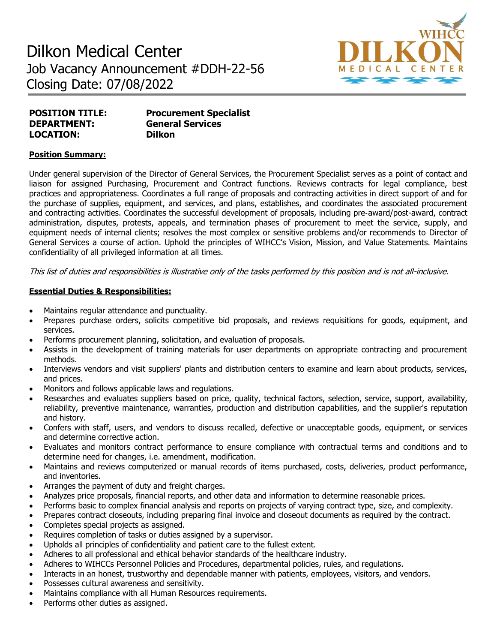# Dilkon Medical Center Job Vacancy Announcement #DDH-22-56 Closing Date: 07/08/2022



| <b>POSITION TITLE:</b> | <b>Procurement Specialist</b> |
|------------------------|-------------------------------|
| <b>DEPARTMENT:</b>     | <b>General Services</b>       |
| <b>LOCATION:</b>       | <b>Dilkon</b>                 |

### **Position Summary:**

Under general supervision of the Director of General Services, the Procurement Specialist serves as a point of contact and liaison for assigned Purchasing, Procurement and Contract functions. Reviews contracts for legal compliance, best practices and appropriateness. Coordinates a full range of proposals and contracting activities in direct support of and for the purchase of supplies, equipment, and services, and plans, establishes, and coordinates the associated procurement and contracting activities. Coordinates the successful development of proposals, including pre‐award/post-award, contract administration, disputes, protests, appeals, and termination phases of procurement to meet the service, supply, and equipment needs of internal clients; resolves the most complex or sensitive problems and/or recommends to Director of General Services a course of action. Uphold the principles of WIHCC's Vision, Mission, and Value Statements. Maintains confidentiality of all privileged information at all times.

This list of duties and responsibilities is illustrative only of the tasks performed by this position and is not all-inclusive.

#### **Essential Duties & Responsibilities:**

- Maintains regular attendance and punctuality.
- Prepares purchase orders, solicits competitive bid proposals, and reviews requisitions for goods, equipment, and services.
- Performs procurement planning, solicitation, and evaluation of proposals.
- Assists in the development of training materials for user departments on appropriate contracting and procurement methods.
- Interviews vendors and visit suppliers' plants and distribution centers to examine and learn about products, services, and prices.
- Monitors and follows applicable laws and regulations.
- Researches and evaluates suppliers based on price, quality, technical factors, selection, service, support, availability, reliability, preventive maintenance, warranties, production and distribution capabilities, and the supplier's reputation and history.
- Confers with staff, users, and vendors to discuss recalled, defective or unacceptable goods, equipment, or services and determine corrective action.
- Evaluates and monitors contract performance to ensure compliance with contractual terms and conditions and to determine need for changes, i.e. amendment, modification.
- Maintains and reviews computerized or manual records of items purchased, costs, deliveries, product performance, and inventories.
- Arranges the payment of duty and freight charges.
- Analyzes price proposals, financial reports, and other data and information to determine reasonable prices.
- Performs basic to complex financial analysis and reports on projects of varying contract type, size, and complexity.
- Prepares contract closeouts, including preparing final invoice and closeout documents as required by the contract.
- Completes special projects as assigned.
- Requires completion of tasks or duties assigned by a supervisor.
- Upholds all principles of confidentiality and patient care to the fullest extent.
- Adheres to all professional and ethical behavior standards of the healthcare industry.
- Adheres to WIHCCs Personnel Policies and Procedures, departmental policies, rules, and regulations.
- Interacts in an honest, trustworthy and dependable manner with patients, employees, visitors, and vendors.
- Possesses cultural awareness and sensitivity.
- Maintains compliance with all Human Resources requirements.
- Performs other duties as assigned.